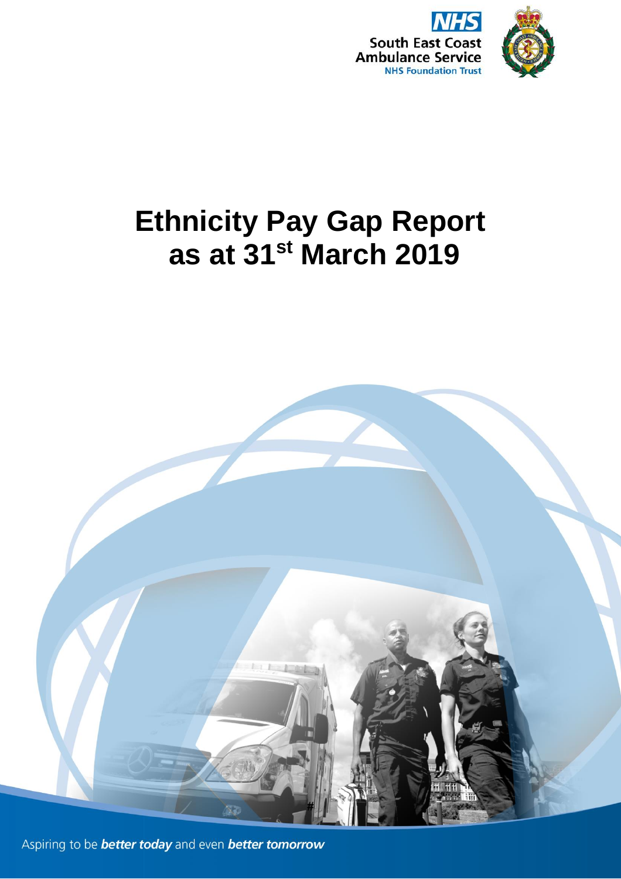

# **Ethnicity Pay Gap Report as at 31st March 2019**



Aspiring to be **better today** and even **better tomorrow**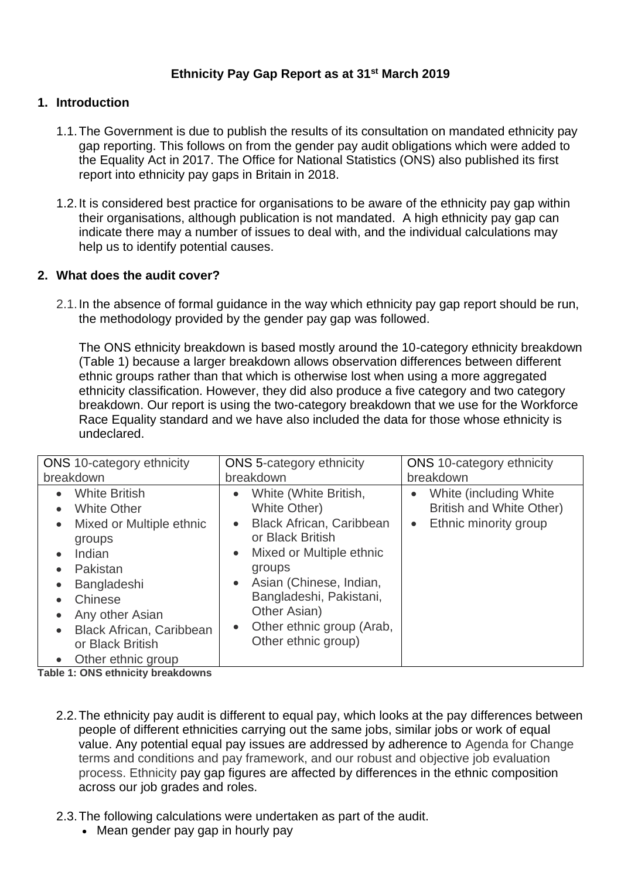# **Ethnicity Pay Gap Report as at 31st March 2019**

### **1. Introduction**

- 1.1.The Government is due to publish the results of its consultation on mandated ethnicity pay gap reporting. This follows on from the gender pay audit obligations which were added to the Equality Act in 2017. The Office for National Statistics (ONS) also published its first report into ethnicity pay gaps in Britain in 2018.
- 1.2.It is considered best practice for organisations to be aware of the ethnicity pay gap within their organisations, although publication is not mandated. A high ethnicity pay gap can indicate there may a number of issues to deal with, and the individual calculations may help us to identify potential causes.

#### **2. What does the audit cover?**

2.1.In the absence of formal guidance in the way which ethnicity pay gap report should be run, the methodology provided by the gender pay gap was followed.

The ONS ethnicity breakdown is based mostly around the 10-category ethnicity breakdown (Table 1) because a larger breakdown allows observation differences between different ethnic groups rather than that which is otherwise lost when using a more aggregated ethnicity classification. However, they did also produce a five category and two category breakdown. Our report is using the two-category breakdown that we use for the Workforce Race Equality standard and we have also included the data for those whose ethnicity is undeclared.

| <b>ONS</b> 10-category ethnicity                                                                                                                                                                                                                                                                                                                                   | <b>ONS</b> 5-category ethnicity                                                                                                                                                                                                                                                                                               | <b>ONS</b> 10-category ethnicity                                                                       |  |  |  |  |
|--------------------------------------------------------------------------------------------------------------------------------------------------------------------------------------------------------------------------------------------------------------------------------------------------------------------------------------------------------------------|-------------------------------------------------------------------------------------------------------------------------------------------------------------------------------------------------------------------------------------------------------------------------------------------------------------------------------|--------------------------------------------------------------------------------------------------------|--|--|--|--|
| breakdown                                                                                                                                                                                                                                                                                                                                                          | breakdown                                                                                                                                                                                                                                                                                                                     | breakdown                                                                                              |  |  |  |  |
| <b>White British</b><br>$\bullet$<br><b>White Other</b><br>$\bullet$<br>Mixed or Multiple ethnic<br>$\bullet$<br>groups<br>Indian<br>$\bullet$<br>Pakistan<br>$\bullet$<br>Bangladeshi<br>$\bullet$<br>Chinese<br>$\bullet$<br>Any other Asian<br>$\bullet$<br><b>Black African, Caribbean</b><br>$\bullet$<br>or Black British<br>Other ethnic group<br>$\bullet$ | White (White British,<br>$\bullet$<br>White Other)<br><b>Black African, Caribbean</b><br>$\bullet$<br>or Black British<br>Mixed or Multiple ethnic<br>$\bullet$<br>groups<br>Asian (Chinese, Indian,<br>$\bullet$<br>Bangladeshi, Pakistani,<br>Other Asian)<br>Other ethnic group (Arab,<br>$\bullet$<br>Other ethnic group) | White (including White)<br>$\bullet$<br>British and White Other)<br>Ethnic minority group<br>$\bullet$ |  |  |  |  |

**Table 1: ONS ethnicity breakdowns**

- 2.2.The ethnicity pay audit is different to equal pay, which looks at the pay differences between people of different ethnicities carrying out the same jobs, similar jobs or work of equal value. Any potential equal pay issues are addressed by adherence to Agenda for Change terms and conditions and pay framework, and our robust and objective job evaluation process. Ethnicity pay gap figures are affected by differences in the ethnic composition across our job grades and roles.
- 2.3.The following calculations were undertaken as part of the audit.
	- Mean gender pay gap in hourly pay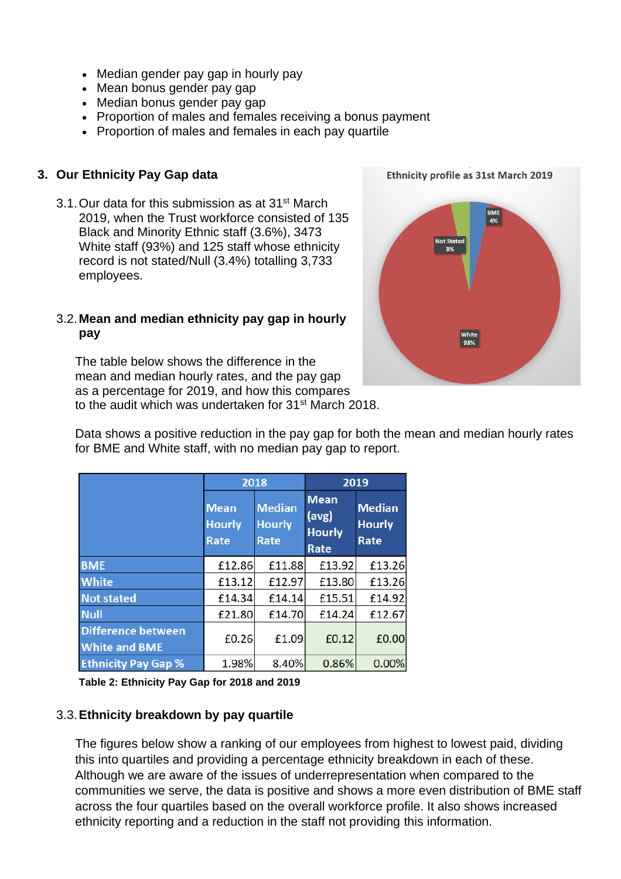- Median gender pay gap in hourly pay
- Mean bonus gender pay gap
- Median bonus gender pay gap
- Proportion of males and females receiving a bonus payment
- Proportion of males and females in each pay quartile

# **3. Our Ethnicity Pay Gap data**

3.1.Our data for this submission as at 31st March 2019, when the Trust workforce consisted of 135 Black and Minority Ethnic staff (3.6%), 3473 White staff (93%) and 125 staff whose ethnicity record is not stated/Null (3.4%) totalling 3,733 employees.

#### 3.2.**Mean and median ethnicity pay gap in hourly pay**

The table below shows the difference in the mean and median hourly rates, and the pay gap as a percentage for 2019, and how this compares to the audit which was undertaken for 31<sup>st</sup> March 2018.

Ethnicity profile as 31st March 2019

Data shows a positive reduction in the pay gap for both the mean and median hourly rates for BME and White staff, with no median pay gap to report.

|                                                   |                                      | 2018                                   | 2019                                          |                                        |  |  |
|---------------------------------------------------|--------------------------------------|----------------------------------------|-----------------------------------------------|----------------------------------------|--|--|
|                                                   | <b>Mean</b><br><b>Hourly</b><br>Rate | <b>Median</b><br><b>Hourly</b><br>Rate | <b>Mean</b><br>(avg)<br><b>Hourly</b><br>Rate | <b>Median</b><br><b>Hourly</b><br>Rate |  |  |
| <b>BME</b>                                        | £12.86                               | £11.88                                 | £13.92                                        | £13.26                                 |  |  |
| <b>White</b>                                      | £13.12                               | £12.97                                 | £13.80                                        | £13.26                                 |  |  |
| <b>Not stated</b>                                 | £14.34                               | £14.14                                 | £15.51                                        | £14.92                                 |  |  |
| <b>Null</b>                                       | £21.80                               | £14.70                                 | £14.24                                        | £12.67                                 |  |  |
| <b>Difference between</b><br><b>White and BME</b> | £0.26                                | £1.09                                  | £0.12                                         | £0.00                                  |  |  |
| <b>Ethnicity Pay Gap %</b>                        | 1.98%                                | 8.40%                                  | 0.86%                                         | 0.00%                                  |  |  |

**Table 2: Ethnicity Pay Gap for 2018 and 2019**

#### 3.3.**Ethnicity breakdown by pay quartile**

The figures below show a ranking of our employees from highest to lowest paid, dividing this into quartiles and providing a percentage ethnicity breakdown in each of these. Although we are aware of the issues of underrepresentation when compared to the communities we serve, the data is positive and shows a more even distribution of BME staff across the four quartiles based on the overall workforce profile. It also shows increased ethnicity reporting and a reduction in the staff not providing this information.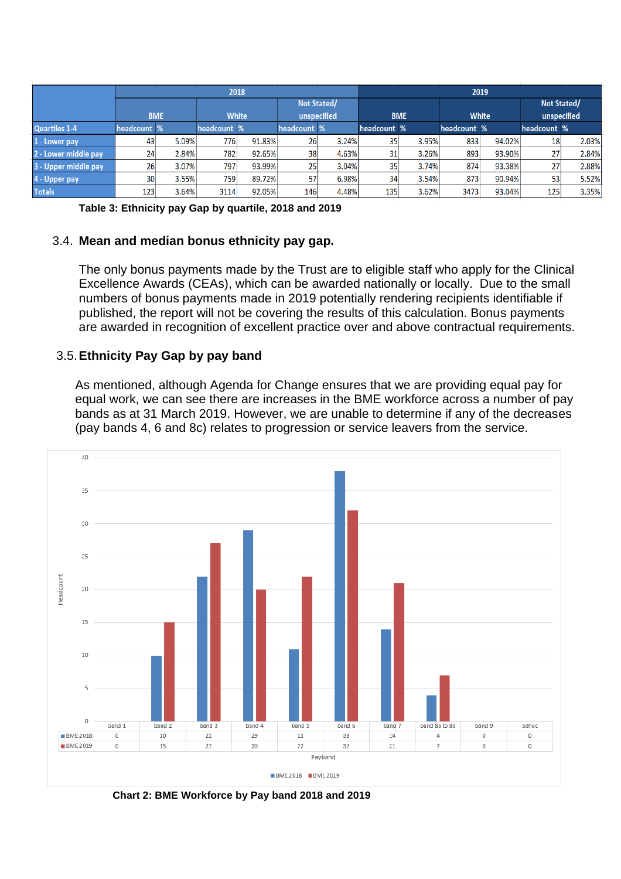|                      | 2018        |       |              |        |              |       |                  | 2019  |              |        |             |       |  |  |
|----------------------|-------------|-------|--------------|--------|--------------|-------|------------------|-------|--------------|--------|-------------|-------|--|--|
|                      |             |       |              |        | Not Stated/  |       |                  |       |              |        | Not Stated/ |       |  |  |
|                      | <b>BME</b>  |       | <b>White</b> |        | unspecified  |       | <b>BME</b>       |       | <b>White</b> |        | unspecified |       |  |  |
| <b>Quartiles 1-4</b> | headcount % |       | headcount %  |        | headcount %' |       | headcount %      |       | headcount %  |        | headcount % |       |  |  |
| 1 - Lower pay        | 43          | 5.09% | 776          | 91.83% | 26           | 3.24% | 35               | 3.95% | 833          | 94.02% | 18          | 2.03% |  |  |
| 2 - Lower middle pay | 24          | 2.84% | 782          | 92.65% | 38           | 4.63% | 31               | 3.26% | 893          | 93.90% | 27          | 2.84% |  |  |
| 3 - Upper middle pay | 26          | 3.07% | 797          | 93.99% | 25           | 3.04% | 35               | 3.74% | 874          | 93.38% | 27          | 2.88% |  |  |
| 4 - Upper pay        | 30          | 3.55% | 759          | 89.72% | 57           | 6.98% | 34               | 3.54% | 873          | 90.94% | 53          | 5.52% |  |  |
| <b>Totals</b>        | 123         | 3.64% | 3114         | 92.05% | 146          | 4.48% | 135 <sub>1</sub> | 3.62% | 3473         | 93.04% | 125         | 3.35% |  |  |

**Table 3: Ethnicity pay Gap by quartile, 2018 and 2019**

#### 3.4. **Mean and median bonus ethnicity pay gap.**

The only bonus payments made by the Trust are to eligible staff who apply for the Clinical Excellence Awards (CEAs), which can be awarded nationally or locally. Due to the small numbers of bonus payments made in 2019 potentially rendering recipients identifiable if published, the report will not be covering the results of this calculation. Bonus payments are awarded in recognition of excellent practice over and above contractual requirements.

### 3.5.**Ethnicity Pay Gap by pay band**

As mentioned, although Agenda for Change ensures that we are providing equal pay for equal work, we can see there are increases in the BME workforce across a number of pay bands as at 31 March 2019. However, we are unable to determine if any of the decreases (pay bands 4, 6 and 8c) relates to progression or service leavers from the service.



**Chart 2: BME Workforce by Pay band 2018 and 2019**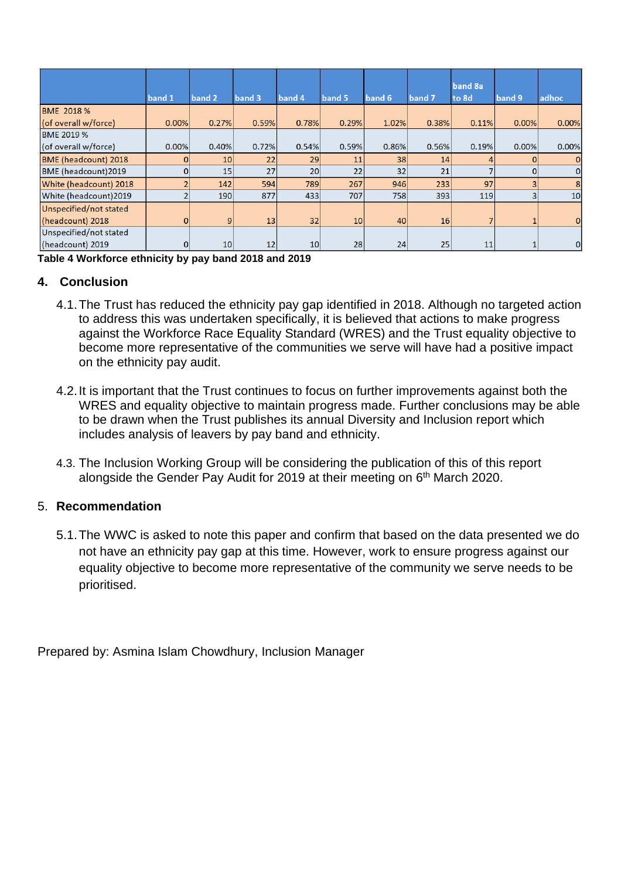|                        | band 1   | band 2          | band 3 | band 4          | band 5          | band 6 | band 7 | band 8a<br>to 8d | band 9 | adhoc          |
|------------------------|----------|-----------------|--------|-----------------|-----------------|--------|--------|------------------|--------|----------------|
| <b>BME 2018 %</b>      |          |                 |        |                 |                 |        |        |                  |        |                |
| (of overall w/force)   | 0.00%    | 0.27%           | 0.59%  | 0.78%           | 0.29%           | 1.02%  | 0.38%  | 0.11%            | 0.00%  | 0.00%          |
| <b>BME 2019 %</b>      |          |                 |        |                 |                 |        |        |                  |        |                |
| (of overall w/force)   | 0.00%    | 0.40%           | 0.72%  | 0.54%           | 0.59%           | 0.86%  | 0.56%  | 0.19%            | 0.00%  | 0.00%          |
| BME (headcount) 2018   | 0        | 10 <sup>1</sup> | 22     | 29              | 11              | 38     | 14     |                  | 0      | 0              |
| BME (headcount)2019    | $\Omega$ | 15              | 27     | 20 <sup>1</sup> | 22              | 32     | 21     |                  | 0      | 0              |
| White (headcount) 2018 |          | 142             | 594    | 789             | 267             | 946    | 233    | 97               | 3      | 8              |
| White (headcount)2019  |          | 190             | 877    | 433             | 707             | 758    | 393    | 119              | 3      | 10             |
| Unspecified/not stated |          |                 |        |                 |                 |        |        |                  |        |                |
| (headcount) 2018       | $\Omega$ | 9               | 13     | 32              | 10 <sup>1</sup> | 40     | 16     |                  |        | $\overline{0}$ |
| Unspecified/not stated |          |                 |        |                 |                 |        |        |                  |        |                |
| (headcount) 2019       | 01       | 10 <sup>1</sup> | 12     | 10 <sup>1</sup> | 28              | 24     | 25     | 11               |        | 0              |

**Table 4 Workforce ethnicity by pay band 2018 and 2019**

# **4. Conclusion**

- 4.1.The Trust has reduced the ethnicity pay gap identified in 2018. Although no targeted action to address this was undertaken specifically, it is believed that actions to make progress against the Workforce Race Equality Standard (WRES) and the Trust equality objective to become more representative of the communities we serve will have had a positive impact on the ethnicity pay audit.
- 4.2.It is important that the Trust continues to focus on further improvements against both the WRES and equality objective to maintain progress made. Further conclusions may be able to be drawn when the Trust publishes its annual Diversity and Inclusion report which includes analysis of leavers by pay band and ethnicity.
- 4.3. The Inclusion Working Group will be considering the publication of this of this report alongside the Gender Pay Audit for 2019 at their meeting on 6<sup>th</sup> March 2020.

# 5. **Recommendation**

5.1.The WWC is asked to note this paper and confirm that based on the data presented we do not have an ethnicity pay gap at this time. However, work to ensure progress against our equality objective to become more representative of the community we serve needs to be prioritised.

Prepared by: Asmina Islam Chowdhury, Inclusion Manager